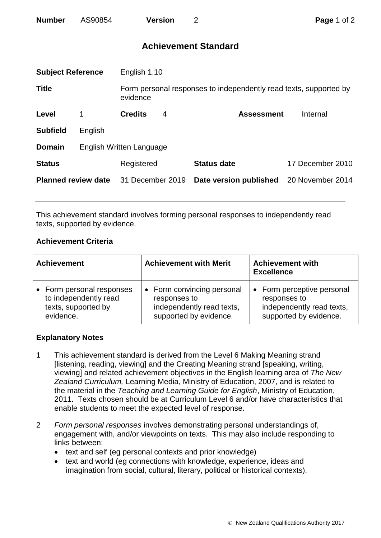# **Achievement Standard**

| <b>Subject Reference</b>   |                          | English 1.10     |   |                                                                   |                  |  |
|----------------------------|--------------------------|------------------|---|-------------------------------------------------------------------|------------------|--|
| <b>Title</b>               |                          | evidence         |   | Form personal responses to independently read texts, supported by |                  |  |
| Level                      | 1                        | <b>Credits</b>   | 4 | <b>Assessment</b>                                                 | Internal         |  |
| <b>Subfield</b>            | English                  |                  |   |                                                                   |                  |  |
| <b>Domain</b>              | English Written Language |                  |   |                                                                   |                  |  |
| <b>Status</b>              |                          | Registered       |   | <b>Status date</b>                                                | 17 December 2010 |  |
| <b>Planned review date</b> |                          | 31 December 2019 |   | Date version published                                            | 20 November 2014 |  |
|                            |                          |                  |   |                                                                   |                  |  |

This achievement standard involves forming personal responses to independently read texts, supported by evidence.

### **Achievement Criteria**

| <b>Achievement</b>      | <b>Achievement with Merit</b> | <b>Achievement with</b><br><b>Excellence</b> |  |
|-------------------------|-------------------------------|----------------------------------------------|--|
| Form personal responses | • Form convincing personal    | • Form perceptive personal                   |  |
| to independently read   | responses to                  | responses to                                 |  |
| texts, supported by     | independently read texts,     | independently read texts,                    |  |
| evidence.               | supported by evidence.        | supported by evidence.                       |  |

### **Explanatory Notes**

- 1 This achievement standard is derived from the Level 6 Making Meaning strand [listening, reading, viewing] and the Creating Meaning strand [speaking, writing, viewing] and related achievement objectives in the English learning area of *The New Zealand Curriculum,* Learning Media, Ministry of Education, 2007, and is related to the material in the *Teaching and Learning Guide for English*, Ministry of Education, 2011. Texts chosen should be at Curriculum Level 6 and/or have characteristics that enable students to meet the expected level of response.
- 2 *Form personal responses* involves demonstrating personal understandings of, engagement with, and/or viewpoints on texts. This may also include responding to links between:
	- text and self (eg personal contexts and prior knowledge)
	- text and world (eg connections with knowledge, experience, ideas and imagination from social, cultural, literary, political or historical contexts).